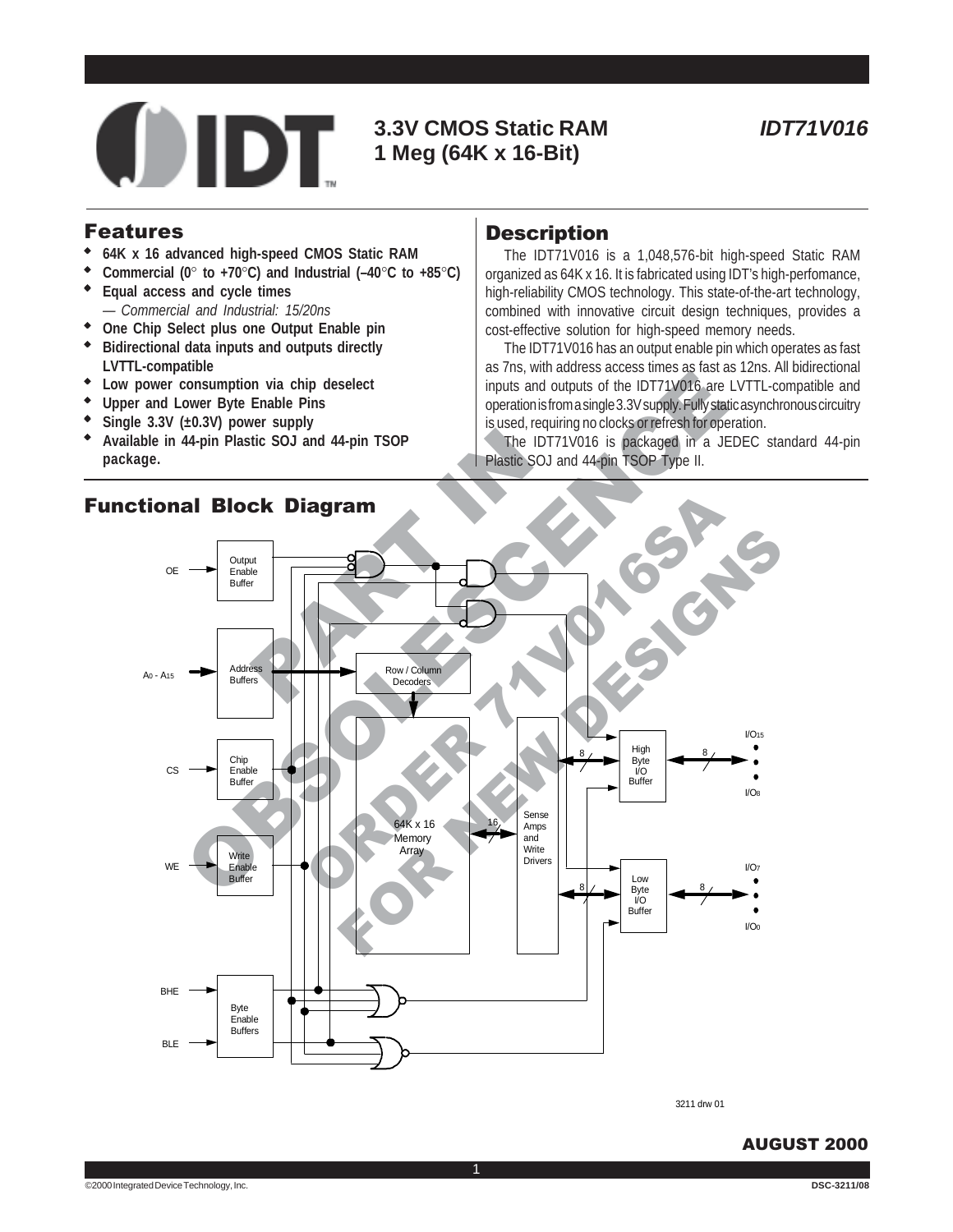

# **3.3V CMOS Static RAM 1 Meg (64K x 16-Bit)**

#### Features

- ◆ **64K x 16 advanced high-speed CMOS Static RAM**
- ◆ **Commercial (0**° **to +70**°**C) and Industrial (–40**°**C to +85**°**C)**
- **Equal access and cycle times** *— Commercial and Industrial: 15/20ns*
- ◆ **One Chip Select plus one Output Enable pin Bidirectional data inputs and outputs directly**
- **LVTTL-compatible**
- ◆ **Low power consumption via chip deselect**
- **Upper and Lower Byte Enable Pins**
- Single  $3.3V$  ( $\pm 0.3V$ ) power supply
- ◆ **Available in 44-pin Plastic SOJ and 44-pin TSOP package.**

### **Description**

The IDT71V016 is a 1,048,576-bit high-speed Static RAM organized as 64K x 16. It is fabricated using IDT's high-perfomance, high-reliability CMOS technology. This state-of-the-art technology, combined with innovative circuit design techniques, provides a cost-effective solution for high-speed memory needs.

The IDT71V016 has an output enable pin which operates as fast as 7ns, with address access times as fast as 12ns. All bidirectional inputs and outputs of the IDT71V016 are LVTTL-compatible and operation is from a single 3.3V supply. Fully static asynchronous circuitry is used, requiring no clocks or refresh for operation.

The IDT71V016 is packaged in a JEDEC standard 44-pin Plastic SOJ and 44-pin TSOP Type II.



1

3211 drw 01

#### AUGUST 2000

# Functional Block Diagram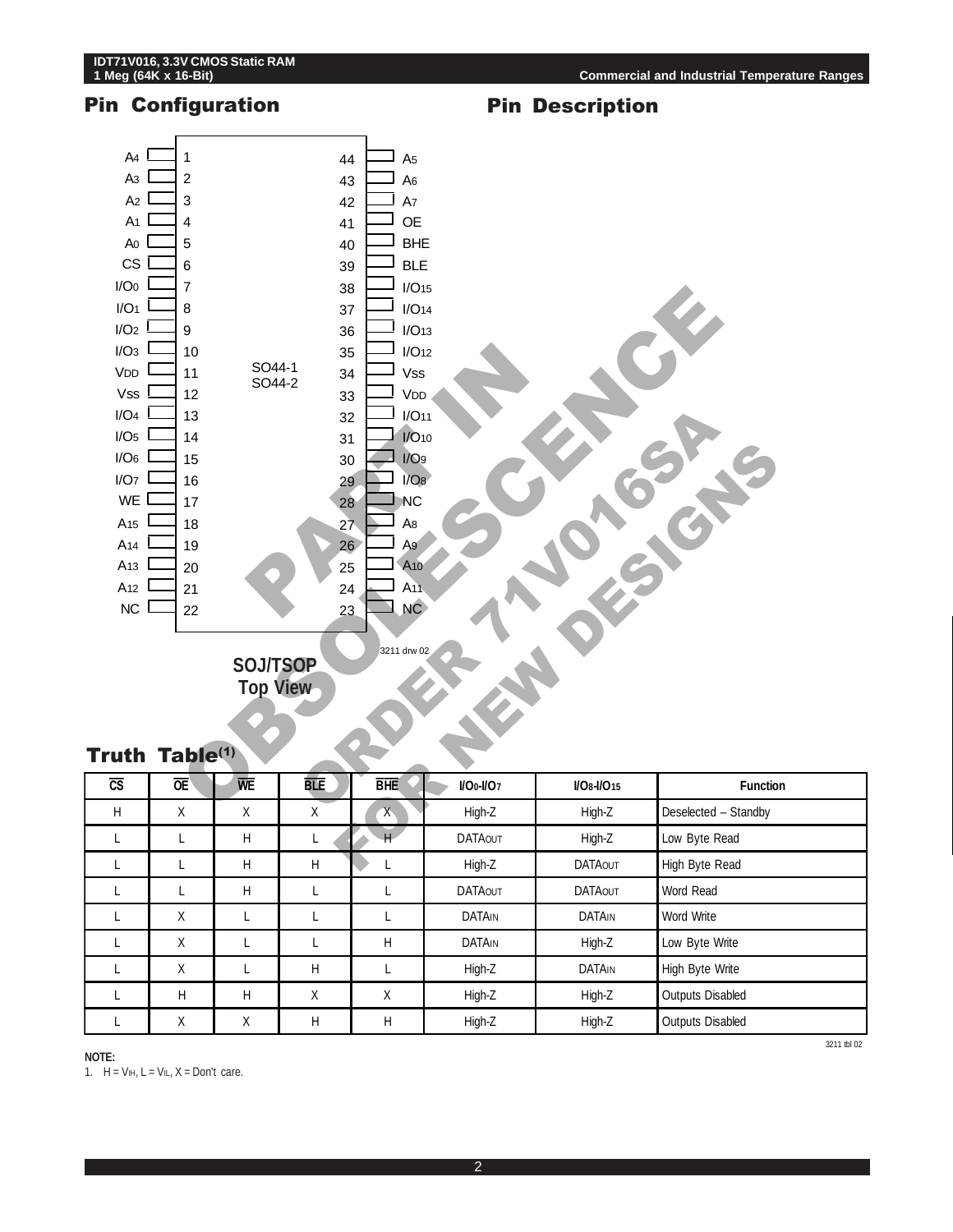

| $\tilde{ }$ | ∽− | . | --- | ---          | .              | .              | .                       |
|-------------|----|---|-----|--------------|----------------|----------------|-------------------------|
| H           | X  | X | Χ   | $\mathsf{X}$ | High-Z         | High-Z         | Deselected - Standby    |
|             |    | H |     | H            | <b>DATAOUT</b> | High-Z         | Low Byte Read           |
|             |    | H | H   |              | High-Z         | <b>DATAOUT</b> | High Byte Read          |
|             |    | H |     |              | <b>DATAOUT</b> | <b>DATAOUT</b> | Word Read               |
|             | Χ  |   |     |              | <b>DATAIN</b>  | <b>DATAIN</b>  | Word Write              |
|             | Χ  |   |     | н            | <b>DATAIN</b>  | High-Z         | Low Byte Write          |
|             | Χ  | ட | H   |              | High-Z         | DATAIN         | High Byte Write         |
|             | H  | H | Χ   | X            | High-Z         | High-Z         | <b>Outputs Disabled</b> |
|             | Χ  | Χ | Η   | H            | High-Z         | High-Z         | <b>Outputs Disabled</b> |

**NOTE:**

1.  $H = V_{I}H$ ,  $L = V_{I}L$ ,  $X = Don't$  care.

3211 tbl 02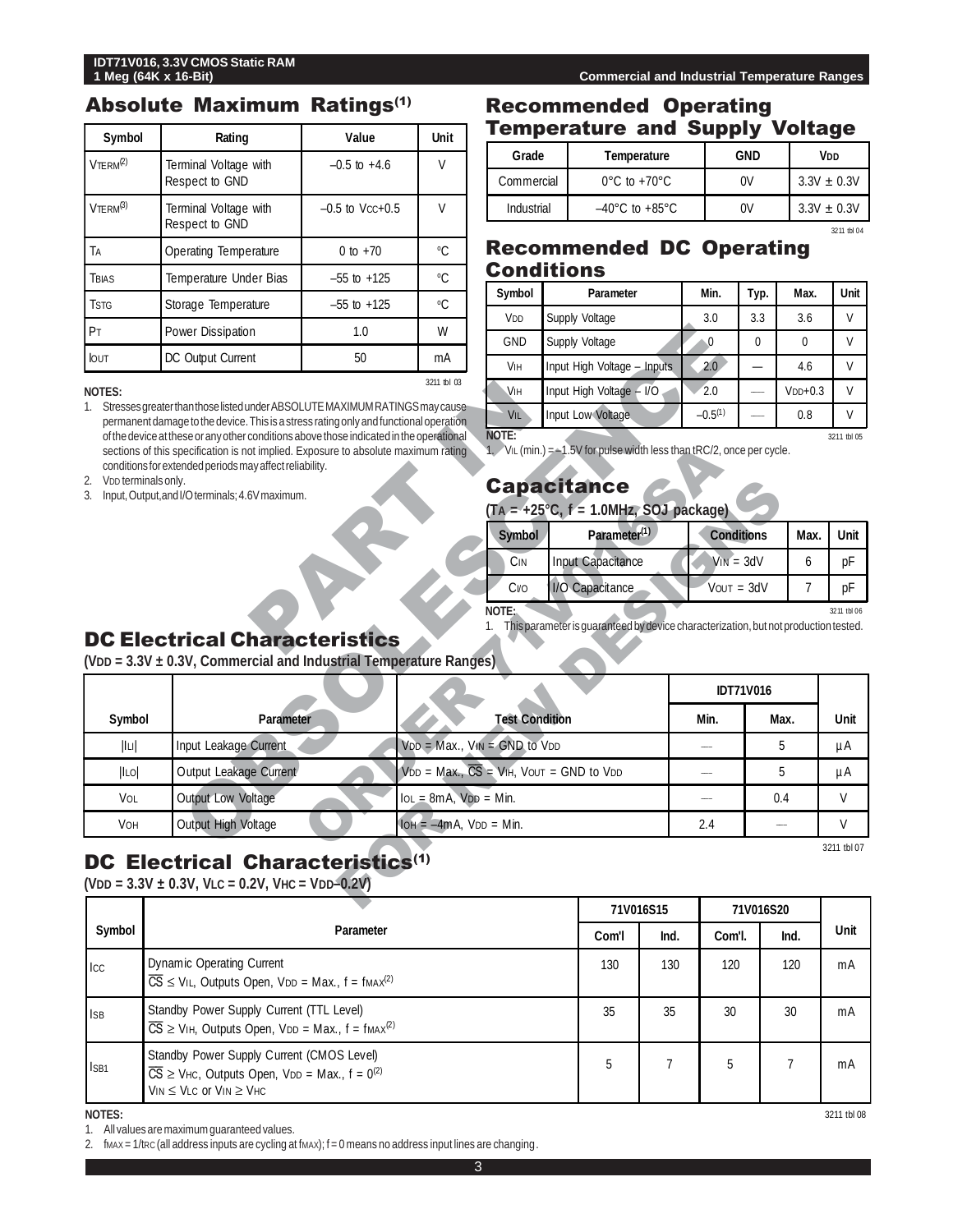#### Absolute Maximum Ratings(1)

| Symbol                  | Rating                                  | Value               | <b>Unit</b>  |
|-------------------------|-----------------------------------------|---------------------|--------------|
| $V$ TFRM <sup>(2)</sup> | Terminal Voltage with<br>Respect to GND | $-0.5$ to $+4.6$    | V            |
| $V$ TERM $^{(3)}$       | Terminal Voltage with<br>Respect to GND | $-0.5$ to $Vcc+0.5$ | V            |
| Tа                      | Operating Temperature                   | 0 to $+70$          | $^{\circ}$ C |
| TBIAS                   | Temperature Under Bias                  | $-55$ to $+125$     | °C           |
| <b>TSTG</b>             | Storage Temperature                     | $-55$ to $+125$     | °C           |
| PT                      | Power Dissipation                       | 1.0                 | W            |
| <b>IOUT</b>             | DC Output Current                       | 50                  | mA           |
|                         |                                         |                     | 3211 tbl 03  |

#### **NOTES:**

### Recommended Operating Temperature and Supply Voltage

| Grade      | Temperature                        | GND | V <sub>DD</sub> |
|------------|------------------------------------|-----|-----------------|
| Commercial | $0^{\circ}$ C to +70 $^{\circ}$ C  | 0V  | $3.3V + 0.3V$   |
| Industrial | $-40^{\circ}$ C to $+85^{\circ}$ C | 0V  | $3.3V + 0.3V$   |
|            |                                    |     | 3211 tbl 04     |

## Recommended DC Operating **Conditions**

| Symbol          | Parameter                   | Min.         | Тур. | Max.      | Unit        |
|-----------------|-----------------------------|--------------|------|-----------|-------------|
| V <sub>DD</sub> | Supply Voltage              | 3.0          | 3.3  | 3.6       | V           |
| <b>GND</b>      | Supply Voltage              | 0            | 0    | 0         | V           |
| VIн             | Input High Voltage - Inputs | 2.0          |      | 4.6       | V           |
| VIH             | Input High Voltage - I/O    | 2.0          |      | $VDP+0.3$ | V           |
| VIL             | Input Low Voltage           | $-0.5^{(1)}$ |      | 0.8       | V           |
| NOTE:           |                             |              |      |           | 3211 thl 05 |

# **Capacitance**

| $(T_A = +25^{\circ}C, f = 1.0 MHz, SOJ package)$ |                          |                   |           |    |  |
|--------------------------------------------------|--------------------------|-------------------|-----------|----|--|
| <b>Symbol</b>                                    | Parameter <sup>(1)</sup> | <b>Conditions</b> | Max. Unit |    |  |
| CIN                                              | Input Capacitance        | $V_{IN} = 3dV$    |           | рF |  |
|                                                  |                          |                   |           |    |  |

# DC Electrical Characteristics

| P <sub>T</sub>                  | Power Dissipation                                                                                                                                                                                                                        | 1.0 | W                            |                                     | .                                                                                   |                          |                          |              |              |
|---------------------------------|------------------------------------------------------------------------------------------------------------------------------------------------------------------------------------------------------------------------------------------|-----|------------------------------|-------------------------------------|-------------------------------------------------------------------------------------|--------------------------|--------------------------|--------------|--------------|
|                                 |                                                                                                                                                                                                                                          |     |                              | <b>GND</b>                          | Supply Voltage                                                                      | $\Omega$                 | $\mathbf{0}$             | $\mathbf{0}$ | V            |
| <b>lout</b>                     | DC Output Current                                                                                                                                                                                                                        | 50  | mA                           | <b>VIH</b>                          | Input High Voltage - Inputs                                                         | 2.0                      | $\overline{\phantom{0}}$ | 4.6          | V            |
| <b>NOTES:</b>                   |                                                                                                                                                                                                                                          |     | 3211 tbl 03                  | <b>VIH</b>                          | Input High Voltage - I/O                                                            | 2.0                      | $\overline{\phantom{0}}$ | $VDP+0.3$    | V            |
|                                 | Stresses greater than those listed under ABSOLUTE MAXIMUM RATINGS may cause<br>permanent damage to the device. This is a stress rating only and functional operation                                                                     |     |                              | <b>VIL</b>                          | Input Low Voltage                                                                   | $-0.5(1)$                |                          | 0.8          | V            |
| V <sub>DD</sub> terminals only. | of the device at these or any other conditions above those indicated in the operational<br>sections of this specification is not implied. Exposure to absolute maximum rating<br>conditions for extended periods may affect reliability. |     |                              | NOTE:                               | 1. $VIL$ (min.) = $-1.5V$ for pulse width less than tRC/2, once per cycle.          |                          |                          |              | 3211 tbl 05  |
| 2.<br>3.                        | Input, Output, and I/O terminals; 4.6V maximum.                                                                                                                                                                                          |     |                              |                                     | <b>Capacitance</b>                                                                  |                          |                          |              |              |
|                                 |                                                                                                                                                                                                                                          |     |                              |                                     | $(T_A = +25^{\circ}C, f = 1.0MHz, SOJ package)$                                     |                          |                          |              |              |
|                                 |                                                                                                                                                                                                                                          |     |                              | Symbol                              | Parameter <sup>(1)</sup>                                                            |                          | <b>Conditions</b>        | Max.         | Unit         |
|                                 |                                                                                                                                                                                                                                          |     |                              | C <sub>IN</sub>                     | Input Capacitance                                                                   |                          | $V_{IN} = 3dV$           | 6            | pF           |
|                                 |                                                                                                                                                                                                                                          |     |                              | Cvo                                 | 1/O Capacitance                                                                     |                          | $V$ OUT = $3dV$          | 7            | pF           |
|                                 | <b>DC Electrical Characteristics</b><br>$(VDD = 3.3V \pm 0.3V$ , Commercial and Industrial Temperature Ranges)                                                                                                                           |     |                              |                                     | This parameter is guaranteed by device characterization, but not production tested. |                          |                          |              |              |
|                                 |                                                                                                                                                                                                                                          |     |                              |                                     |                                                                                     |                          | <b>IDT71V016</b>         |              |              |
| Symbol                          | Parameter                                                                                                                                                                                                                                |     |                              | <b>Test Condition</b>               |                                                                                     | Min.                     |                          | Max.         | Unit         |
| $\  \cdot \ $                   | Input Leakage Current                                                                                                                                                                                                                    |     |                              | $VDD = Max.$ , $VIN = GND$ to $VDD$ |                                                                                     |                          |                          | 5            | μA           |
| ILO                             | Output Leakage Current                                                                                                                                                                                                                   |     |                              |                                     | $VDD = Max., \overline{CS} = VHH, VOUT = GND to VDD$                                |                          |                          | 5            | μA           |
| VOL                             | Output Low Voltage                                                                                                                                                                                                                       |     | $IoL = 8mA$ , $VDD = Min$ .  |                                     |                                                                                     | $\overline{\phantom{a}}$ |                          | 0.4          | $\mathsf{V}$ |
| <b>VOH</b>                      | Output High Voltage                                                                                                                                                                                                                      |     | $IOH = -4mA$ , $VDD = Min$ . |                                     |                                                                                     | 2.4                      |                          |              | $\mathsf{V}$ |
|                                 | <b>DC Electrical Characteristics(1)</b><br>(VDD = $3.3V \pm 0.3V$ , VLC = 0.2V, VHC = VDD-0.2V)                                                                                                                                          |     |                              |                                     |                                                                                     |                          |                          |              | 3211 tbl 07  |
|                                 |                                                                                                                                                                                                                                          |     |                              |                                     | <b>711/014C1E</b>                                                                   |                          | 711/01/020               |              |              |

3211 tbl 08

# DC Electrical Characteristics<sup>(1)</sup>

|              |                                                                                                                                                                                                  | 71V016S15 |      | 71V016S20 |      |      |
|--------------|--------------------------------------------------------------------------------------------------------------------------------------------------------------------------------------------------|-----------|------|-----------|------|------|
| Symbol       | Parameter                                                                                                                                                                                        | Com'l     | Ind. | Com'l.    | Ind. | Unit |
| $_{\rm lcc}$ | Dynamic Operating Current<br>$\overline{CS}$ $\leq$ V <sub>IL</sub> , Outputs Open, V <sub>DD</sub> = Max., f = fmAx <sup>(2)</sup>                                                              | 130       | 130  | 120       | 120  | mA   |
| <b>ISB</b>   | Standby Power Supply Current (TTL Level)<br>$\overline{CS}$ $\geq$ V <sub>IH</sub> , Outputs Open, V <sub>DD</sub> = Max., f = fmAx <sup>(2)</sup>                                               | 35        | 35   | 30        | 30   | mA   |
| ISB1         | Standby Power Supply Current (CMOS Level)<br>$\overline{CS}$ $\geq$ V <sub>HC</sub> , Outputs Open, V <sub>DD</sub> = Max., f = 0 <sup>(2)</sup><br>$V_{IN} \leq V_{LC}$ or $V_{IN} \geq V_{HC}$ | 5         |      | 5         |      | mA   |

**NOTES:**

1. All values are maximum guaranteed values.

2. fmax = 1/tRc (all address inputs are cycling at fmax); f = 0 means no address input lines are changing.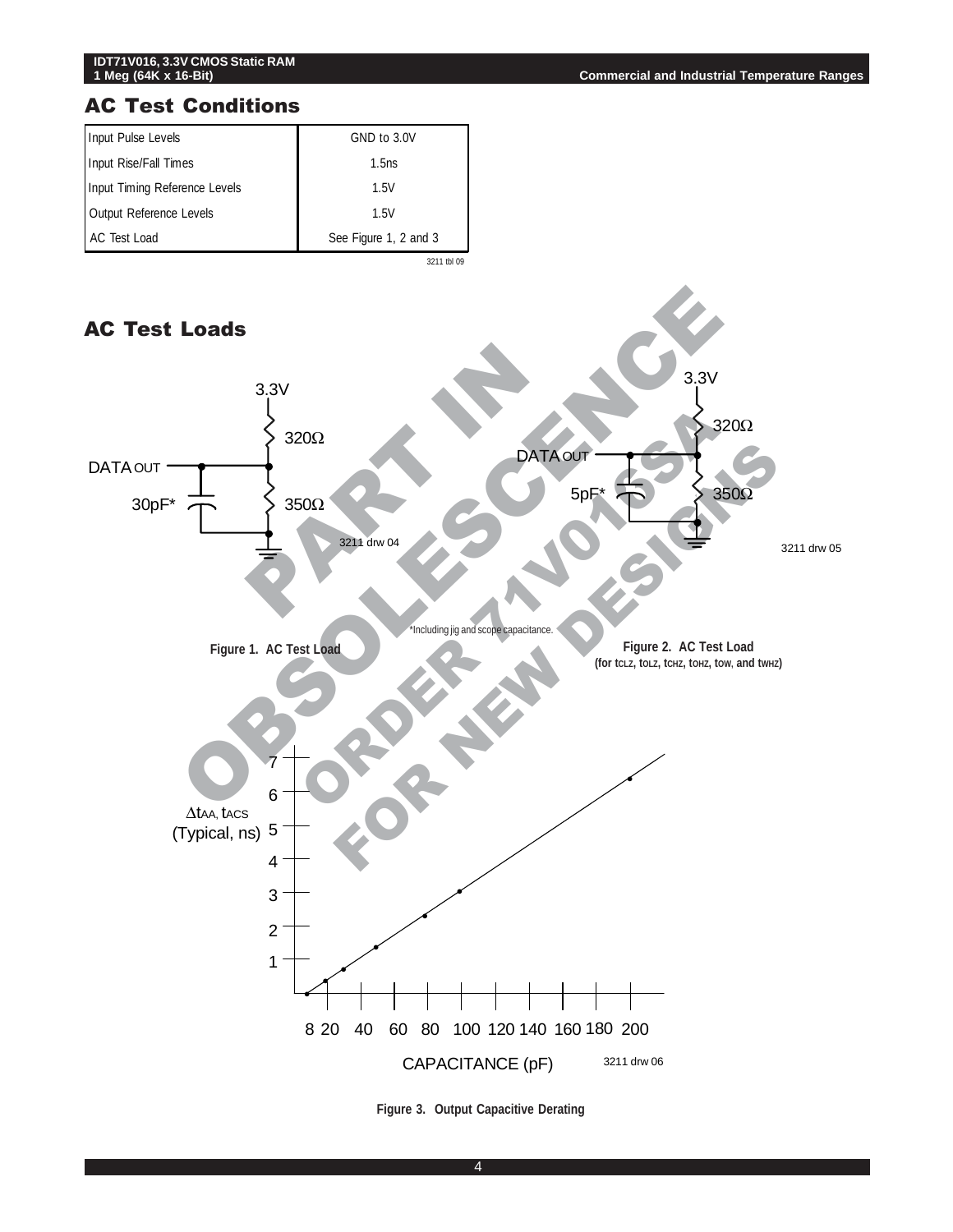

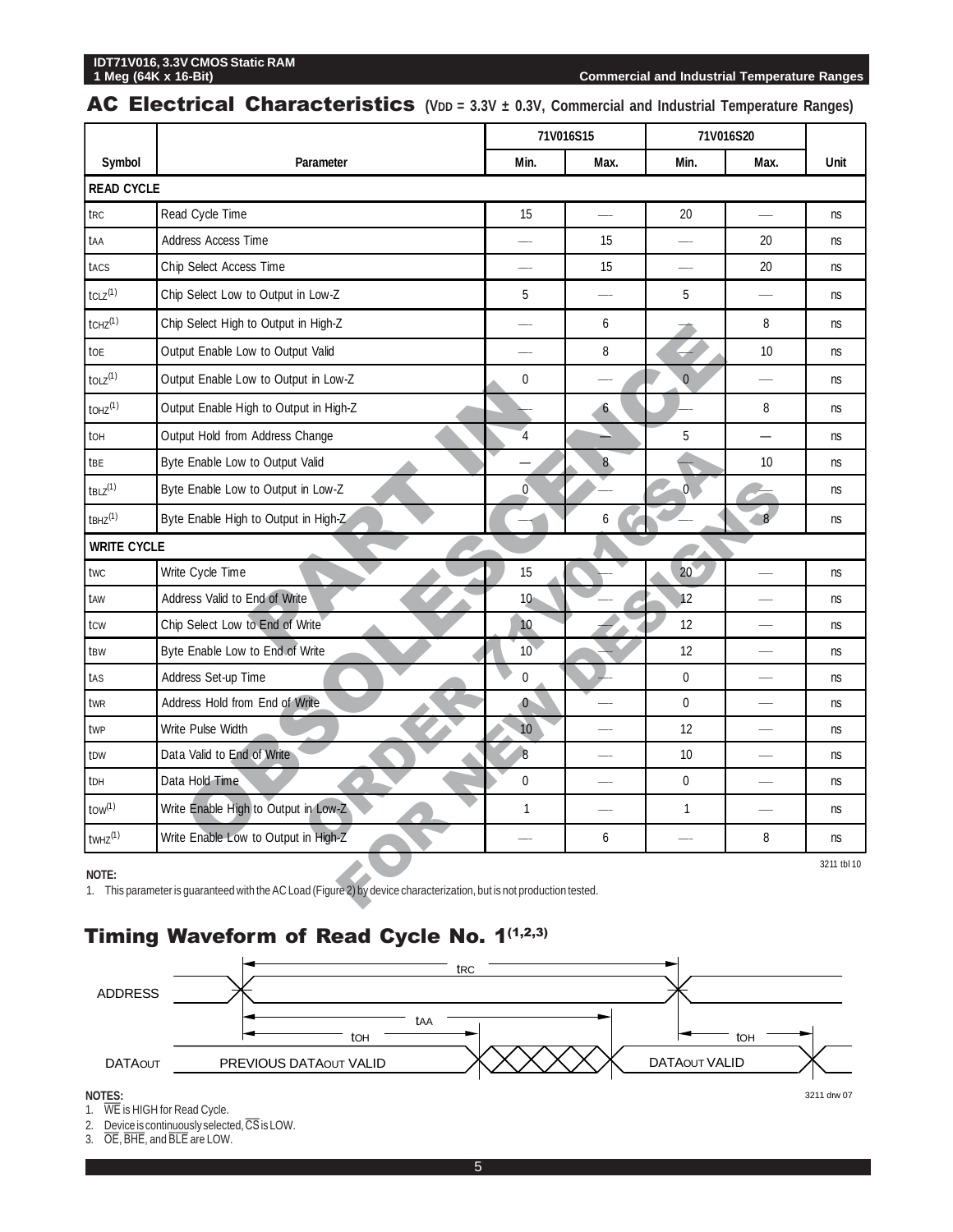# **IDT71V016, 3.3V CMOS Static RAM**

**Commercial and Industrial Temperature Ranges** 

### AC Electrical Characteristics (VDD = 3.3V ± 0.3V, Commercial and Industrial Temperature Ranges)

|                                                                                                                                               |                                        |                  | 71V016S15                |                 | 71V016S20                |           |  |  |
|-----------------------------------------------------------------------------------------------------------------------------------------------|----------------------------------------|------------------|--------------------------|-----------------|--------------------------|-----------|--|--|
| Symbol                                                                                                                                        | Parameter                              | Min.             | Max.                     | Min.            | Max.                     | Unit      |  |  |
|                                                                                                                                               | <b>READ CYCLE</b>                      |                  |                          |                 |                          |           |  |  |
| t <sub>RC</sub>                                                                                                                               | Read Cycle Time                        | 15               |                          | 20              |                          | ns        |  |  |
| taa                                                                                                                                           | Address Access Time                    |                  | 15                       |                 | 20                       | ns        |  |  |
| tacs                                                                                                                                          | Chip Select Access Time                |                  | 15                       |                 | 20                       | ns        |  |  |
| $tCLZ^{(1)}$                                                                                                                                  | Chip Select Low to Output in Low-Z     | 5                | $\overline{\phantom{0}}$ | 5               | $\overline{\phantom{a}}$ | ns        |  |  |
| $t$ CHZ $(1)$                                                                                                                                 | Chip Select High to Output in High-Z   |                  | 6                        |                 | 8                        | ns        |  |  |
| toe                                                                                                                                           | Output Enable Low to Output Valid      |                  | 8                        |                 | 10                       | ns        |  |  |
| $\text{tolz}^{(1)}$                                                                                                                           | Output Enable Low to Output in Low-Z   | 0                |                          | $\overline{0}$  |                          | ns        |  |  |
| $\text{LOHZ}^{(1)}$                                                                                                                           | Output Enable High to Output in High-Z |                  | $\ddot{\mathbf{6}}$      |                 | 8                        | ns        |  |  |
| to <sub>H</sub>                                                                                                                               | Output Hold from Address Change        | 4                |                          | 5               |                          | <b>ns</b> |  |  |
| tbe                                                                                                                                           | Byte Enable Low to Output Valid        |                  | 8                        |                 | 10                       | ns        |  |  |
| $tBLZ$ <sup>(1)</sup>                                                                                                                         | Byte Enable Low to Output in Low-Z     | $\boldsymbol{0}$ |                          | $\overline{0}$  |                          | ns        |  |  |
| $t$ BHZ $^{(1)}$                                                                                                                              | Byte Enable High to Output in High-Z   |                  | 6                        |                 | $\overline{8}$           | ns        |  |  |
| <b>WRITE CYCLE</b>                                                                                                                            |                                        |                  |                          |                 |                          |           |  |  |
| twc                                                                                                                                           | Write Cycle Time                       | 15               |                          | 20 <sup>°</sup> |                          | ns        |  |  |
| taw                                                                                                                                           | Address Valid to End of Write          | 10 <sup>°</sup>  |                          | 12              |                          | ns        |  |  |
| tcw                                                                                                                                           | Chip Select Low to End of Write        | 10               |                          | 12              |                          | ns        |  |  |
| tBW                                                                                                                                           | Byte Enable Low to End of Write        | 10 <sup>°</sup>  |                          | 12              |                          | ns        |  |  |
| tas                                                                                                                                           | Address Set-up Time                    | $\pmb{0}$        |                          | $\mathbf 0$     |                          | ns        |  |  |
| twr                                                                                                                                           | Address Hold from End of Write         | $\bullet$        |                          | $\mathbf 0$     |                          | ns        |  |  |
| twp                                                                                                                                           | Write Pulse Width                      | 10               |                          | 12              |                          | ns        |  |  |
| t <sub>DW</sub>                                                                                                                               | Data Valid to End of Write             | $\overline{8}$   |                          | 10              |                          | ns        |  |  |
| tDH                                                                                                                                           | Data Hold Time                         | 0                |                          | $\mathbf 0$     |                          | ns        |  |  |
| $t$ ow $(1)$                                                                                                                                  | Write Enable High to Output in Low-Z   | $\mathbf{1}$     |                          | 1               |                          | ns        |  |  |
| $t$ WHZ $^{(1)}$                                                                                                                              | Write Enable Low to Output in High-Z   |                  | 6                        |                 | 8                        | ns        |  |  |
| 3211 tbl 10<br>NOTE:<br>1. This parameter is guaranteed with the AC Load (Figure 2) by device characterization, but is not production tested. |                                        |                  |                          |                 |                          |           |  |  |

# Timing Waveform of Read Cycle No. 1(1,2,3)



2. Device is continuously selected,  $\overline{\text{CS}}$  is LOW.<br>3.  $\overline{\text{OE}}$ ,  $\overline{\text{BHE}}$ , and  $\overline{\text{BLE}}$  are LOW.

 $\overline{OE}$ , BHE, and BLE are LOW.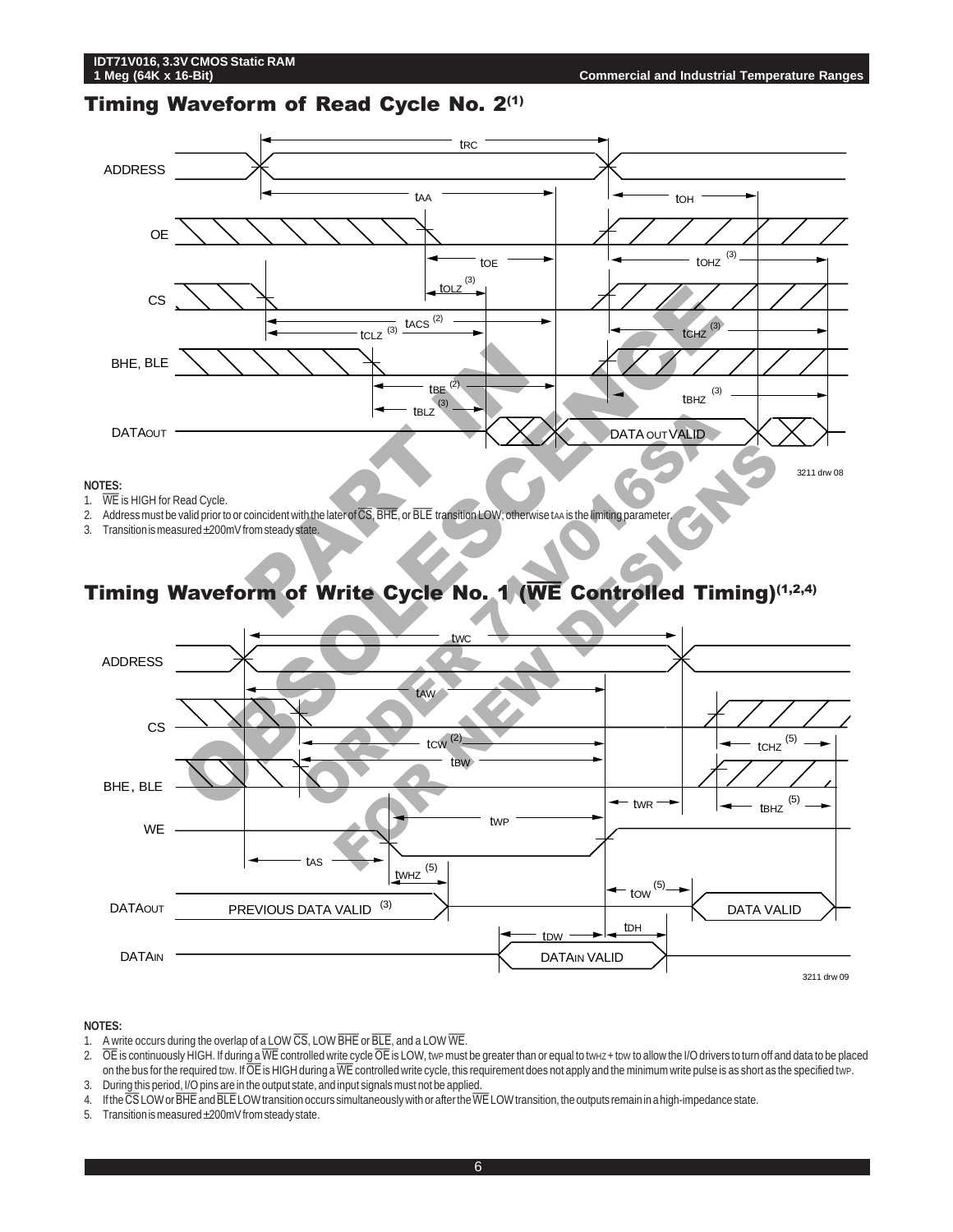#### Timing Waveform of Read Cycle No. 2(1)



#### **NOTES:**

- 1. WE is HIGH for Read Cycle.
- 2. Address must be valid prior to or coincident with the later of  $\overline{\text{CS}}$ , BHE, or BLE transition LOW; otherwise taa is the limiting parameter
- 3. Transition is measured ±200mV from steady state.

# Timing Waveform of Write Cycle No. 1 (WE Controlled Timing)(1,2,4)



#### **NOTES:**

- 1. A write occurs during the overlap of a LOW  $\overline{\text{CS}}$ , LOW  $\overline{\text{BHE}}$  or  $\overline{\text{BLE}}$ , and a LOW  $\overline{\text{WE}}$ .
- 2.  $\overline{OE}$  is continuously HIGH. If during a  $\overline{WE}$  controlled write cycle  $\overline{OE}$  is LOW, twp must be greater than or equal to tw $_{HZ}$  + tow to allow the I/O drivers to turn off and data to be placed on the bus for the required tow. If  $\overline{\overline{O}}\overline{\overline{E}}$  is HIGH during a  $\overline{\text{WE}}$  controlled write cycle, this requirement does not apply and the minimum write pulse is as short as the specified twp. 3. During this period, I/O pins are in the output state, and input signals must not be applied.
- 4. If the  $\overline{\text{CS}}$  LOW or  $\overline{\text{BHE}}$  and  $\overline{\text{BLE}}$  LOW transition occurs simultaneously with or after the  $\overline{\text{WE}}$  LOW transition, the outputs remain in a high-impedance state.
- 5. Transition is measured ±200mV from steady state.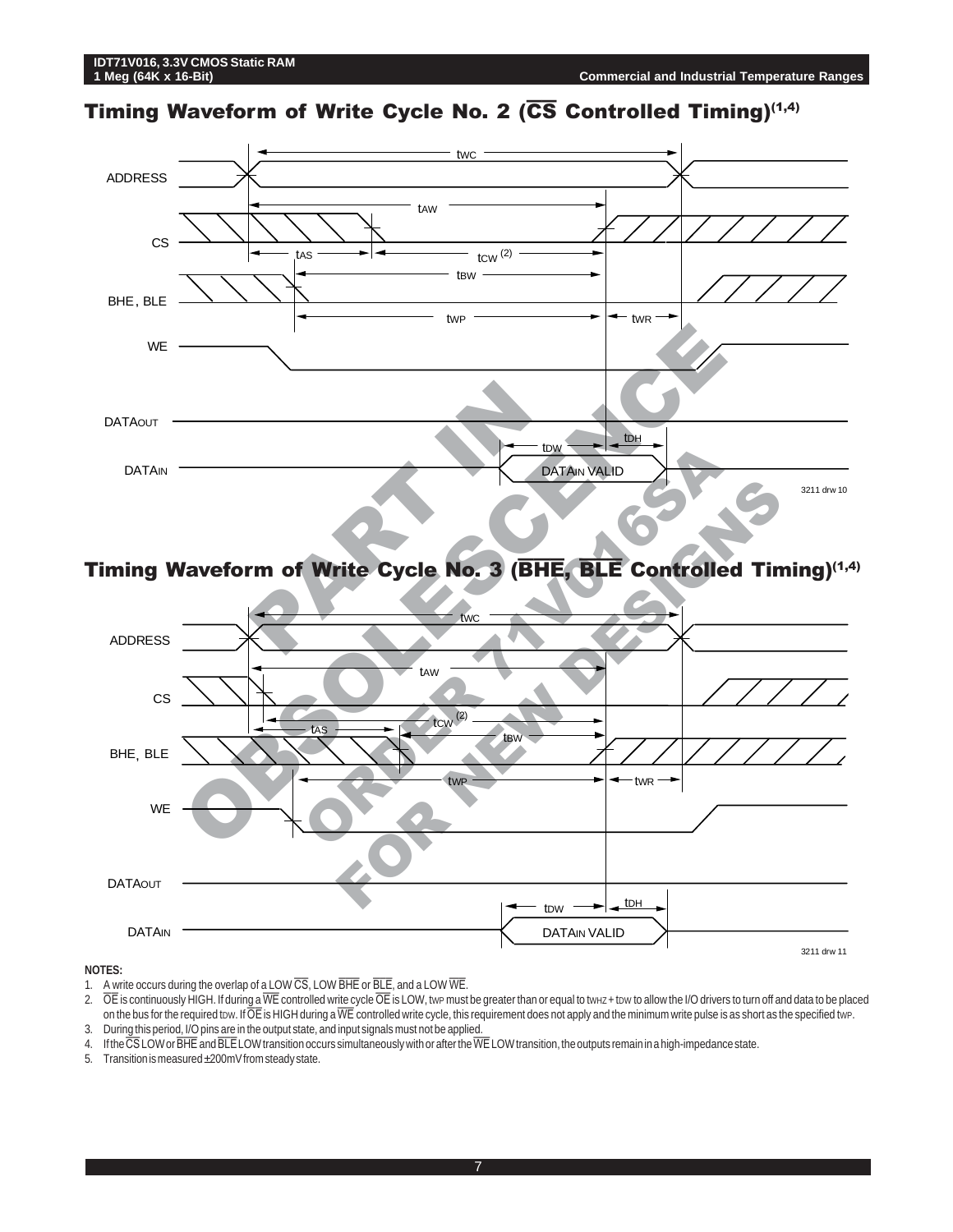# Timing Waveform of Write Cycle No. 2 ( $\overline{\text{CS}}$  Controlled Timing)<sup>(1,4)</sup>



## Timing Waveform of Write Cycle No. 3 (BHE, BLE Controlled Timing)(1,4)



#### **NOTES:**

1. A write occurs during the overlap of a LOW  $\overline{\text{CS}}$ , LOW  $\overline{\text{BHE}}$  or  $\overline{\text{BLE}}$ , and a LOW  $\overline{\text{WE}}$ .

2.  $\overline{OE}$  is continuously HIGH. If during a  $\overline{WE}$  controlled write cycle  $\overline{OE}$  is LOW, twp must be greater than or equal to twHz + tow to allow the I/O drivers to turn off and data to be placed on the bus for the required tow. If  $\overline{\rm OE}$  is HIGH during a  $\overline{\rm WE}$  controlled write cycle, this requirement does not apply and the minimum write pulse is as short as the specified twp. 3. During this period, I/O pins are in the output state, and input signals must not be applied.

- 4. If the CS LOW or BHE and BLE LOW transition occurs simultaneously with or after the WE LOW transition, the outputs remain in a high-impedance state.
- 5. Transition is measured ±200mV from steady state.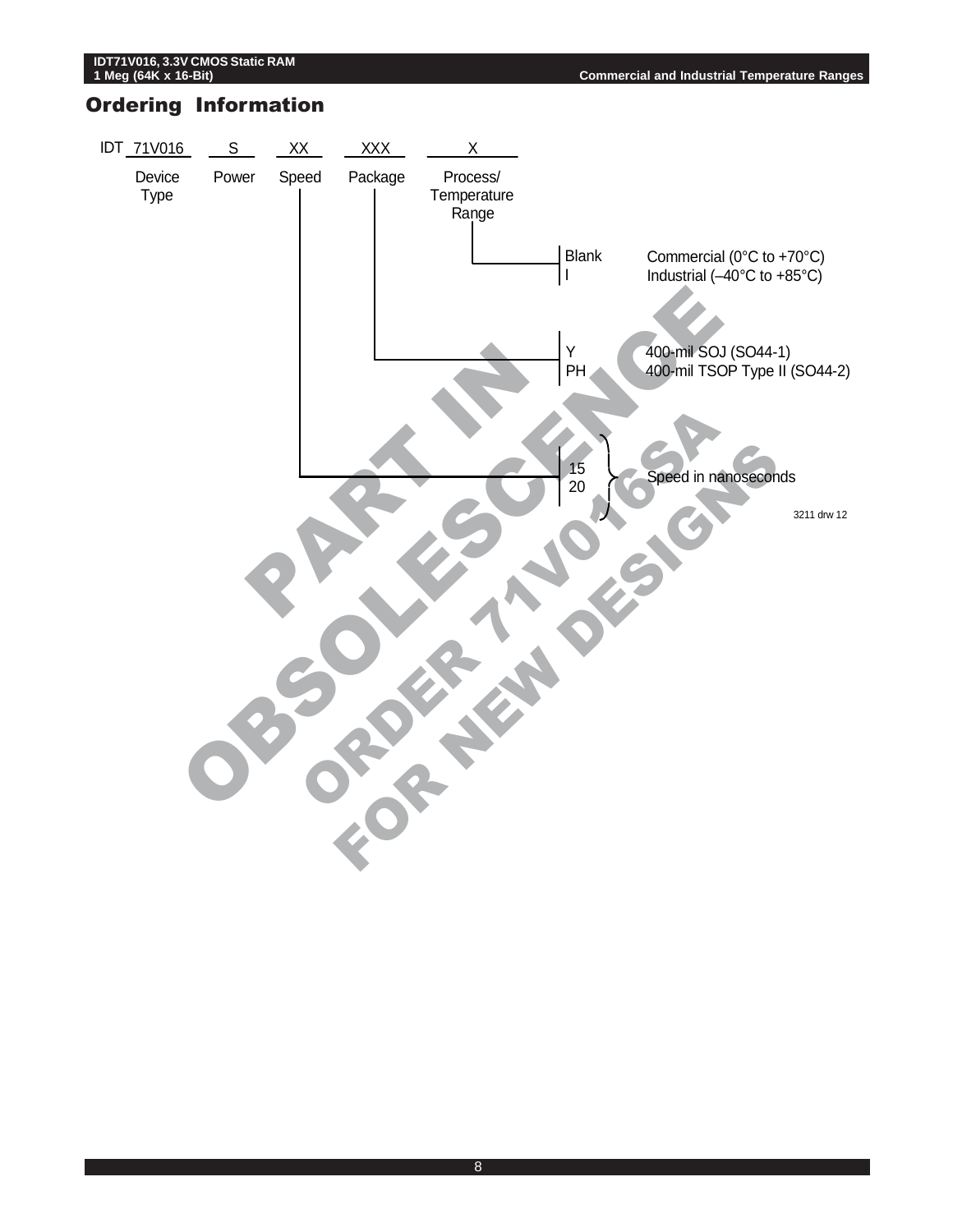